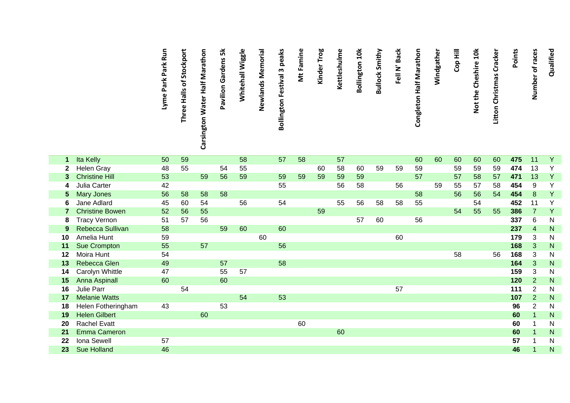|    |                        | Lyme Park Park Run | Three Halls of Stockport | Carsington Water Half Marathon | $\frac{1}{2}$<br>Pavilion Gardens | Whitehall Wiggle | Newlands Memorial | <b>Bollington Festival 3 peaks</b> | Mt Famine | Kinder Trog | Kettleshulme | <b>Bollington 10k</b> | <b>Bullock Smithy</b> | Fell N' Back | Congleton Half Marathon | Windgather | Cop Hill | Not the Cheshire 10k | Litton Christmas Cracker | Points | Number of races | Qualified      |
|----|------------------------|--------------------|--------------------------|--------------------------------|-----------------------------------|------------------|-------------------|------------------------------------|-----------|-------------|--------------|-----------------------|-----------------------|--------------|-------------------------|------------|----------|----------------------|--------------------------|--------|-----------------|----------------|
| 1  | Ita Kelly              | 50                 | 59                       |                                |                                   | 58               |                   | 57                                 | 58        |             | 57           |                       |                       |              | 60                      | 60         | 60       | 60                   | 60                       | 475    | 11              | $\overline{Y}$ |
|    | <b>Helen Gray</b>      | 48                 | 55                       |                                | 54                                | 55               |                   |                                    |           | 60          | 58           | 60                    | 59                    | 59           | 59                      |            | 59       | 59                   | 59                       | 474    | 13              | Υ              |
|    | <b>Christine Hill</b>  | 53                 |                          | 59                             | 56                                | 59               |                   | 59                                 | 59        | 59          | 59           | 59                    |                       |              | 57                      |            | 57       | 58                   | 57                       | 471    | 13              | Y              |
|    | Julia Carter           | 42                 |                          |                                |                                   |                  |                   | 55                                 |           |             | 56           | 58                    |                       | 56           |                         | 59         | 55       | 57                   | 58                       | 454    | 9               | Y              |
| 5  | Mary Jones             | 56                 | 58                       | 58                             | 58                                |                  |                   |                                    |           |             |              |                       |                       |              | 58                      |            | 56       | 56                   | 54                       | 454    | $\bf 8$         | Y              |
| 6  | Jane Adlard            | 45                 | 60                       | 54                             |                                   | 56               |                   | 54                                 |           |             | 55           | 56                    | 58                    | 58           | 55                      |            |          | 54                   |                          | 452    | 11              | Y              |
|    | <b>Christine Bowen</b> | 52                 | 56                       | 55                             |                                   |                  |                   |                                    |           | 59          |              |                       |                       |              |                         |            | 54       | 55                   | 55                       | 386    | $\overline{7}$  | Y              |
| 8  | <b>Tracy Vernon</b>    | 51                 | 57                       | 56                             |                                   |                  |                   |                                    |           |             |              | 57                    | 60                    |              | 56                      |            |          |                      |                          | 337    | 6               | N              |
| 9  | Rebecca Sullivan       | 58                 |                          |                                | 59                                | 60               |                   | 60                                 |           |             |              |                       |                       |              |                         |            |          |                      |                          | 237    | $\overline{4}$  | N              |
| 10 | Amelia Hunt            | 59                 |                          |                                |                                   |                  | 60                |                                    |           |             |              |                       |                       | 60           |                         |            |          |                      |                          | 179    | 3               | N              |
| 11 | <b>Sue Crompton</b>    | 55                 |                          | 57                             |                                   |                  |                   | 56                                 |           |             |              |                       |                       |              |                         |            |          |                      |                          | 168    | 3               | ${\sf N}$      |
| 12 | Moira Hunt             | 54                 |                          |                                |                                   |                  |                   |                                    |           |             |              |                       |                       |              |                         |            | 58       |                      | 56                       | 168    | 3               | N              |
| 13 | Rebecca Glen           | 49                 |                          |                                | 57                                |                  |                   | 58                                 |           |             |              |                       |                       |              |                         |            |          |                      |                          | 164    | 3               | ${\sf N}$      |
| 14 | Carolyn Whittle        | 47                 |                          |                                | 55                                | 57               |                   |                                    |           |             |              |                       |                       |              |                         |            |          |                      |                          | 159    | 3               | N              |
| 15 | <b>Anna Aspinall</b>   | 60                 |                          |                                | 60                                |                  |                   |                                    |           |             |              |                       |                       |              |                         |            |          |                      |                          | 120    | $\overline{2}$  | N.             |
| 16 | Julie Parr             |                    | 54                       |                                |                                   |                  |                   |                                    |           |             |              |                       |                       | 57           |                         |            |          |                      |                          | 111    | $\overline{2}$  | N              |
| 17 | <b>Melanie Watts</b>   |                    |                          |                                |                                   | 54               |                   | 53                                 |           |             |              |                       |                       |              |                         |            |          |                      |                          | 107    | $\overline{2}$  | N.             |

**18** Helen Fotheringham 43 53 **96**

**19** Helen Gilbert 60 **60**

**20** Rachel Evatt 60 **60**

**21** Emma Cameron 60 **60**

**22** Iona Sewell 57 **57**

**23** Sue Holland

2

1

1

1

1

1

N

N

N

N

N

N